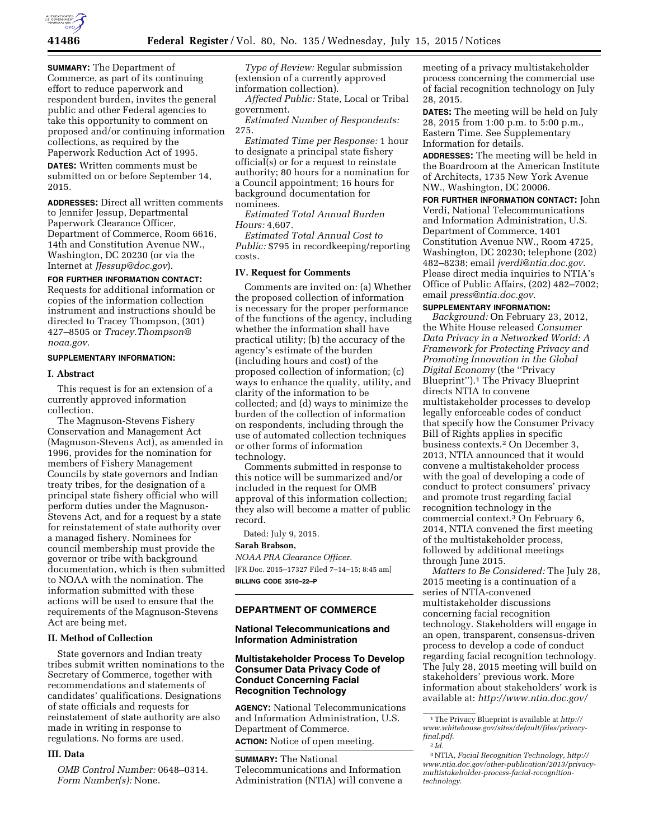

**SUMMARY:** The Department of Commerce, as part of its continuing effort to reduce paperwork and respondent burden, invites the general public and other Federal agencies to take this opportunity to comment on proposed and/or continuing information collections, as required by the Paperwork Reduction Act of 1995.

**DATES:** Written comments must be submitted on or before September 14, 2015.

**ADDRESSES:** Direct all written comments to Jennifer Jessup, Departmental Paperwork Clearance Officer, Department of Commerce, Room 6616, 14th and Constitution Avenue NW., Washington, DC 20230 (or via the Internet at *[JJessup@doc.gov](mailto:JJessup@doc.gov)*).

**FOR FURTHER INFORMATION CONTACT:**  Requests for additional information or copies of the information collection instrument and instructions should be directed to Tracey Thompson, (301) 427–8505 or *[Tracey.Thompson@](mailto:Tracey.Thompson@noaa.gov) [noaa.gov.](mailto:Tracey.Thompson@noaa.gov)* 

### **SUPPLEMENTARY INFORMATION:**

#### **I. Abstract**

This request is for an extension of a currently approved information collection.

The Magnuson-Stevens Fishery Conservation and Management Act (Magnuson-Stevens Act), as amended in 1996, provides for the nomination for members of Fishery Management Councils by state governors and Indian treaty tribes, for the designation of a principal state fishery official who will perform duties under the Magnuson-Stevens Act, and for a request by a state for reinstatement of state authority over a managed fishery. Nominees for council membership must provide the governor or tribe with background documentation, which is then submitted to NOAA with the nomination. The information submitted with these actions will be used to ensure that the requirements of the Magnuson-Stevens Act are being met.

# **II. Method of Collection**

State governors and Indian treaty tribes submit written nominations to the Secretary of Commerce, together with recommendations and statements of candidates' qualifications. Designations of state officials and requests for reinstatement of state authority are also made in writing in response to regulations. No forms are used.

#### **III. Data**

*OMB Control Number:* 0648–0314. *Form Number(s):* None.

*Type of Review:* Regular submission (extension of a currently approved information collection).

*Affected Public:* State, Local or Tribal government.

*Estimated Number of Respondents:*  275.

*Estimated Time per Response:* 1 hour to designate a principal state fishery official(s) or for a request to reinstate authority; 80 hours for a nomination for a Council appointment; 16 hours for background documentation for nominees.

*Estimated Total Annual Burden Hours:* 4,607.

*Estimated Total Annual Cost to Public:* \$795 in recordkeeping/reporting costs.

### **IV. Request for Comments**

Comments are invited on: (a) Whether the proposed collection of information is necessary for the proper performance of the functions of the agency, including whether the information shall have practical utility; (b) the accuracy of the agency's estimate of the burden (including hours and cost) of the proposed collection of information; (c) ways to enhance the quality, utility, and clarity of the information to be collected; and (d) ways to minimize the burden of the collection of information on respondents, including through the use of automated collection techniques or other forms of information technology.

Comments submitted in response to this notice will be summarized and/or included in the request for OMB approval of this information collection; they also will become a matter of public record.

Dated: July 9, 2015.

#### **Sarah Brabson,**

*NOAA PRA Clearance Officer.*  [FR Doc. 2015–17327 Filed 7–14–15; 8:45 am] **BILLING CODE 3510–22–P** 

### **DEPARTMENT OF COMMERCE**

## **National Telecommunications and Information Administration**

# **Multistakeholder Process To Develop Consumer Data Privacy Code of Conduct Concerning Facial Recognition Technology**

**AGENCY:** National Telecommunications and Information Administration, U.S. Department of Commerce. **ACTION:** Notice of open meeting.

**SUMMARY:** The National Telecommunications and Information Administration (NTIA) will convene a

meeting of a privacy multistakeholder process concerning the commercial use of facial recognition technology on July 28, 2015.

**DATES:** The meeting will be held on July 28, 2015 from 1:00 p.m. to 5:00 p.m., Eastern Time. See Supplementary Information for details.

**ADDRESSES:** The meeting will be held in the Boardroom at the American Institute of Architects, 1735 New York Avenue NW., Washington, DC 20006.

**FOR FURTHER INFORMATION CONTACT:** John Verdi, National Telecommunications and Information Administration, U.S. Department of Commerce, 1401 Constitution Avenue NW., Room 4725, Washington, DC 20230; telephone (202) 482–8238; email *[jverdi@ntia.doc.gov](mailto:jverdi@ntia.doc.gov)*. Please direct media inquiries to NTIA's Office of Public Affairs, (202) 482–7002; email *[press@ntia.doc.gov](mailto:press@ntia.doc.gov)*.

### **SUPPLEMENTARY INFORMATION:**

*Background:* On February 23, 2012, the White House released *Consumer Data Privacy in a Networked World: A Framework for Protecting Privacy and Promoting Innovation in the Global Digital Economy* (the ''Privacy Blueprint'').1 The Privacy Blueprint directs NTIA to convene multistakeholder processes to develop legally enforceable codes of conduct that specify how the Consumer Privacy Bill of Rights applies in specific business contexts.2 On December 3, 2013, NTIA announced that it would convene a multistakeholder process with the goal of developing a code of conduct to protect consumers' privacy and promote trust regarding facial recognition technology in the commercial context.3 On February 6, 2014, NTIA convened the first meeting of the multistakeholder process, followed by additional meetings through June 2015.

*Matters to Be Considered:* The July 28, 2015 meeting is a continuation of a series of NTIA-convened multistakeholder discussions concerning facial recognition technology. Stakeholders will engage in an open, transparent, consensus-driven process to develop a code of conduct regarding facial recognition technology. The July 28, 2015 meeting will build on stakeholders' previous work. More information about stakeholders' work is available at: *<http://www.ntia.doc.gov/>*

<sup>1</sup>The Privacy Blueprint is available at *[http://](http://www.whitehouse.gov/sites/default/files/privacy-final.pdf) [www.whitehouse.gov/sites/default/files/privacy](http://www.whitehouse.gov/sites/default/files/privacy-final.pdf)[final.pdf](http://www.whitehouse.gov/sites/default/files/privacy-final.pdf)*. 2 *Id.* 

<sup>3</sup>NTIA, *Facial Recognition Technology, [http://](http://www.ntia.doc.gov/other-publication/2013/privacy-multistakeholder-process-facial-recognition-technology) [www.ntia.doc.gov/other-publication/2013/privacy](http://www.ntia.doc.gov/other-publication/2013/privacy-multistakeholder-process-facial-recognition-technology)multistakeholder-process-facial-recognitiontechnology*.